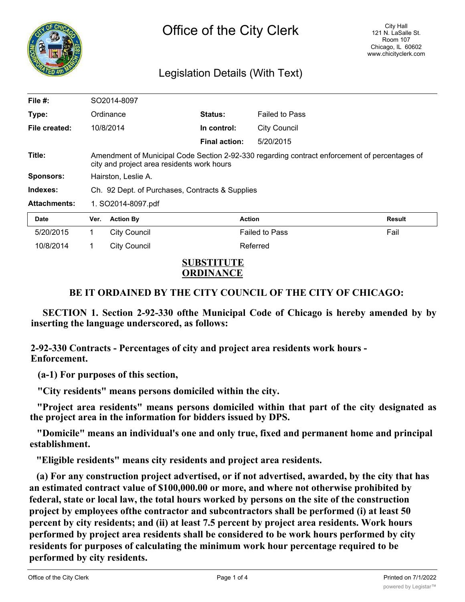

## Legislation Details (With Text)

| File $#$ :          |                                                                                                                                             | SO2014-8097         |                      |                       |        |
|---------------------|---------------------------------------------------------------------------------------------------------------------------------------------|---------------------|----------------------|-----------------------|--------|
|                     |                                                                                                                                             |                     |                      |                       |        |
| Type:               |                                                                                                                                             | Ordinance           | <b>Status:</b>       | <b>Failed to Pass</b> |        |
| File created:       |                                                                                                                                             | 10/8/2014           | In control:          | <b>City Council</b>   |        |
|                     |                                                                                                                                             |                     | <b>Final action:</b> | 5/20/2015             |        |
| Title:              | Amendment of Municipal Code Section 2-92-330 regarding contract enforcement of percentages of<br>city and project area residents work hours |                     |                      |                       |        |
| <b>Sponsors:</b>    | Hairston, Leslie A.                                                                                                                         |                     |                      |                       |        |
| Indexes:            | Ch. 92 Dept. of Purchases, Contracts & Supplies                                                                                             |                     |                      |                       |        |
| <b>Attachments:</b> | 1. SO2014-8097.pdf                                                                                                                          |                     |                      |                       |        |
| <b>Date</b>         | Ver.                                                                                                                                        | <b>Action By</b>    |                      | <b>Action</b>         | Result |
| 5/20/2015           | 1                                                                                                                                           | <b>City Council</b> |                      | <b>Failed to Pass</b> | Fail   |
| 10/8/2014           | 1                                                                                                                                           | <b>City Council</b> |                      | Referred              |        |

## **SUBSTITUTE ORDINANCE**

## **BE IT ORDAINED BY THE CITY COUNCIL OF THE CITY OF CHICAGO:**

**SECTION 1. Section 2-92-330 ofthe Municipal Code of Chicago is hereby amended by by inserting the language underscored, as follows:**

**2-92-330 Contracts - Percentages of city and project area residents work hours - Enforcement.**

**(a-1) For purposes of this section,**

**"City residents" means persons domiciled within the city.**

**"Project area residents" means persons domiciled within that part of the city designated as the project area in the information for bidders issued by DPS.**

**"Domicile" means an individual's one and only true, fixed and permanent home and principal establishment.**

**"Eligible residents" means city residents and project area residents.**

**(a) For any construction project advertised, or if not advertised, awarded, by the city that has an estimated contract value of \$100,000.00 or more, and where not otherwise prohibited by federal, state or local law, the total hours worked by persons on the site of the construction project by employees ofthe contractor and subcontractors shall be performed (i) at least 50 percent by city residents; and (ii) at least 7.5 percent by project area residents. Work hours performed by project area residents shall be considered to be work hours performed by city residents for purposes of calculating the minimum work hour percentage required to be performed by city residents.**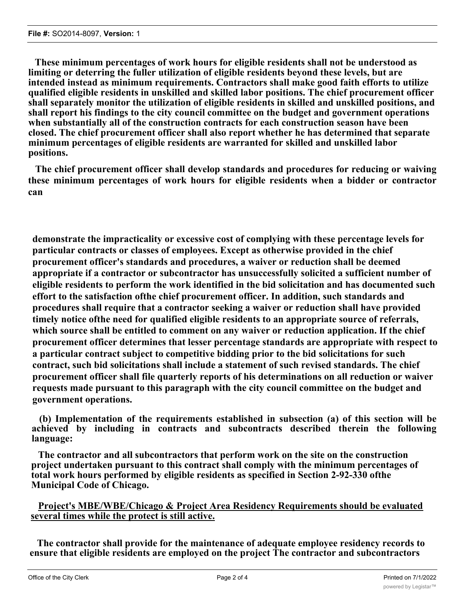**These minimum percentages of work hours for eligible residents shall not be understood as limiting or deterring the fuller utilization of eligible residents beyond these levels, but are intended instead as minimum requirements. Contractors shall make good faith efforts to utilize qualified eligible residents in unskilled and skilled labor positions. The chief procurement officer shall separately monitor the utilization of eligible residents in skilled and unskilled positions, and shall report his findings to the city council committee on the budget and government operations when substantially all of the construction contracts for each construction season have been closed. The chief procurement officer shall also report whether he has determined that separate minimum percentages of eligible residents are warranted for skilled and unskilled labor positions.**

**The chief procurement officer shall develop standards and procedures for reducing or waiving these minimum percentages of work hours for eligible residents when a bidder or contractor can**

**demonstrate the impracticality or excessive cost of complying with these percentage levels for particular contracts or classes of employees. Except as otherwise provided in the chief procurement officer's standards and procedures, a waiver or reduction shall be deemed appropriate if a contractor or subcontractor has unsuccessfully solicited a sufficient number of eligible residents to perform the work identified in the bid solicitation and has documented such effort to the satisfaction ofthe chief procurement officer. In addition, such standards and procedures shall require that a contractor seeking a waiver or reduction shall have provided timely notice ofthe need for qualified eligible residents to an appropriate source of referrals, which source shall be entitled to comment on any waiver or reduction application. If the chief procurement officer determines that lesser percentage standards are appropriate with respect to a particular contract subject to competitive bidding prior to the bid solicitations for such contract, such bid solicitations shall include a statement of such revised standards. The chief procurement officer shall file quarterly reports of his determinations on all reduction or waiver requests made pursuant to this paragraph with the city council committee on the budget and government operations.**

**(b) Implementation of the requirements established in subsection (a) of this section will be achieved by including in contracts and subcontracts described therein the following language:**

**The contractor and all subcontractors that perform work on the site on the construction project undertaken pursuant to this contract shall comply with the minimum percentages of total work hours performed by eligible residents as specified in Section 2-92-330 ofthe Municipal Code of Chicago.**

**Project's MBE/WBE/Chicago & Project Area Residency Requirements should be evaluated several times while the protect is still active.**

**The contractor shall provide for the maintenance of adequate employee residency records to ensure that eligible residents are employed on the project The contractor and subcontractors**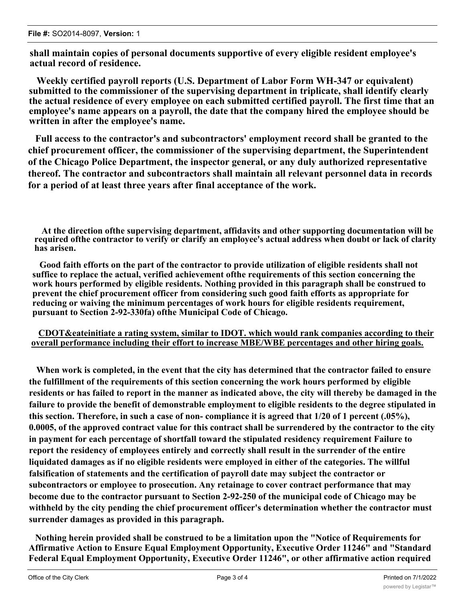**shall maintain copies of personal documents supportive of every eligible resident employee's actual record of residence.**

**Weekly certified payroll reports (U.S. Department of Labor Form WH-347 or equivalent) submitted to the commissioner of the supervising department in triplicate, shall identify clearly the actual residence of every employee on each submitted certified payroll. The first time that an employee's name appears on a payroll, the date that the company hired the employee should be written in after the employee's name.**

**Full access to the contractor's and subcontractors' employment record shall be granted to the chief procurement officer, the commissioner of the supervising department, the Superintendent of the Chicago Police Department, the inspector general, or any duly authorized representative thereof. The contractor and subcontractors shall maintain all relevant personnel data in records for a period of at least three years after final acceptance of the work.**

**At the direction ofthe supervising department, affidavits and other supporting documentation will be required ofthe contractor to verify or clarify an employee's actual address when doubt or lack of clarity has arisen.**

**Good faith efforts on the part of the contractor to provide utilization of eligible residents shall not suffice to replace the actual, verified achievement ofthe requirements of this section concerning the work hours performed by eligible residents. Nothing provided in this paragraph shall be construed to prevent the chief procurement officer from considering such good faith efforts as appropriate for reducing or waiving the minimum percentages of work hours for eligible residents requirement, pursuant to Section 2-92-330fa) ofthe Municipal Code of Chicago.**

## **CDOT&eateinitiate a rating system, similar to IDOT. which would rank companies according to their overall performance including their effort to increase MBE/WBE percentages and other hiring goals.**

**When work is completed, in the event that the city has determined that the contractor failed to ensure the fulfillment of the requirements of this section concerning the work hours performed by eligible residents or has failed to report in the manner as indicated above, the city will thereby be damaged in the failure to provide the benefit of demonstrable employment to eligible residents to the degree stipulated in this section. Therefore, in such a case of non- compliance it is agreed that 1/20 of 1 percent (.05%), 0.0005, of the approved contract value for this contract shall be surrendered by the contractor to the city in payment for each percentage of shortfall toward the stipulated residency requirement Failure to report the residency of employees entirely and correctly shall result in the surrender of the entire liquidated damages as if no eligible residents were employed in either of the categories. The willful falsification of statements and the certification of payroll date may subject the contractor or subcontractors or employee to prosecution. Any retainage to cover contract performance that may become due to the contractor pursuant to Section 2-92-250 of the municipal code of Chicago may be withheld by the city pending the chief procurement officer's determination whether the contractor must surrender damages as provided in this paragraph.**

**Nothing herein provided shall be construed to be a limitation upon the "Notice of Requirements for Affirmative Action to Ensure Equal Employment Opportunity, Executive Order 11246" and "Standard Federal Equal Employment Opportunity, Executive Order 11246", or other affirmative action required**